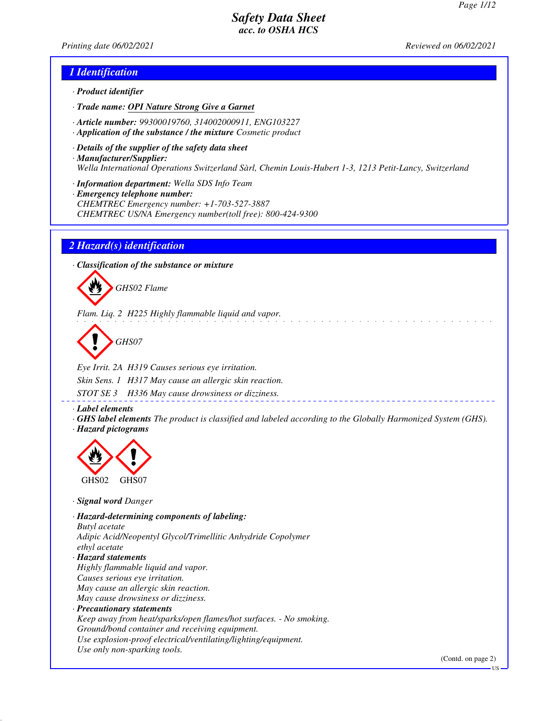*Printing date 06/02/2021 Reviewed on 06/02/2021*

### *1 Identification*

- *· Product identifier*
- *· Trade name: OPI Nature Strong Give a Garnet*
- *· Article number: 99300019760, 314002000911, ENG103227*
- *· Application of the substance / the mixture Cosmetic product*
- *· Details of the supplier of the safety data sheet · Manufacturer/Supplier: Wella International Operations Switzerland Sàrl, Chemin Louis-Hubert 1-3, 1213 Petit-Lancy, Switzerland*
- *· Information department: Wella SDS Info Team*
- *· Emergency telephone number: CHEMTREC Emergency number: +1-703-527-3887 CHEMTREC US/NA Emergency number(toll free): 800-424-9300*

#### *2 Hazard(s) identification*

*· Classification of the substance or mixture*



*Flam. Liq. 2 H225 Highly flammable liquid and vapor.*

*GHS07*

*Eye Irrit. 2A H319 Causes serious eye irritation. Skin Sens. 1 H317 May cause an allergic skin reaction.*

*STOT SE 3 H336 May cause drowsiness or dizziness.*

*· Label elements*

*· GHS label elements The product is classified and labeled according to the Globally Harmonized System (GHS). · Hazard pictograms*



*· Signal word Danger*

*· Hazard-determining components of labeling: Butyl acetate Adipic Acid/Neopentyl Glycol/Trimellitic Anhydride Copolymer ethyl acetate · Hazard statements Highly flammable liquid and vapor. Causes serious eye irritation. May cause an allergic skin reaction. May cause drowsiness or dizziness. · Precautionary statements Keep away from heat/sparks/open flames/hot surfaces. - No smoking. Ground/bond container and receiving equipment. Use explosion-proof electrical/ventilating/lighting/equipment. Use only non-sparking tools.*

(Contd. on page 2)

US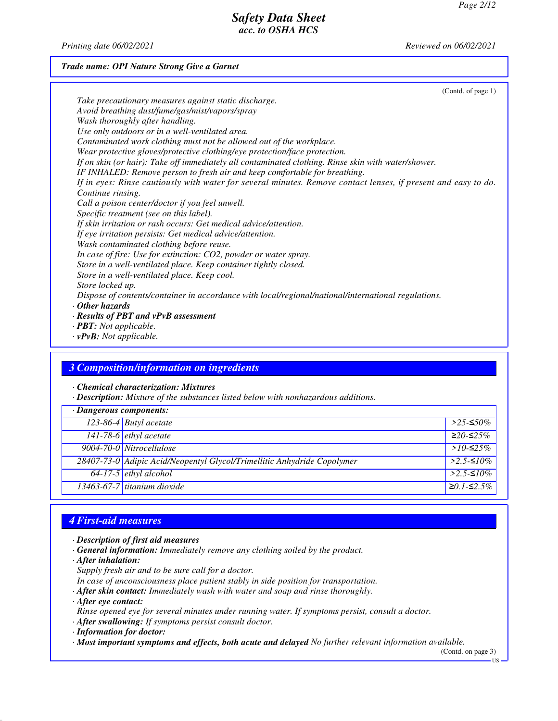*Printing date 06/02/2021 Reviewed on 06/02/2021*

#### *Trade name: OPI Nature Strong Give a Garnet*

| (Contd. of page $1$ )                                                                                          |
|----------------------------------------------------------------------------------------------------------------|
| Take precautionary measures against static discharge.                                                          |
| Avoid breathing dust/fume/gas/mist/vapors/spray                                                                |
| Wash thoroughly after handling.                                                                                |
| Use only outdoors or in a well-ventilated area.                                                                |
| Contaminated work clothing must not be allowed out of the workplace.                                           |
| Wear protective gloves/protective clothing/eye protection/face protection.                                     |
| If on skin (or hair): Take off immediately all contaminated clothing. Rinse skin with water/shower.            |
| IF INHALED: Remove person to fresh air and keep comfortable for breathing.                                     |
| If in eyes: Rinse cautiously with water for several minutes. Remove contact lenses, if present and easy to do. |
| Continue rinsing.                                                                                              |
| Call a poison center/doctor if you feel unwell.                                                                |
| Specific treatment (see on this label).                                                                        |
| If skin irritation or rash occurs: Get medical advice/attention.                                               |
| If eye irritation persists: Get medical advice/attention.                                                      |
| Wash contaminated clothing before reuse.                                                                       |
| In case of fire: Use for extinction: CO2, powder or water spray.                                               |
| Store in a well-ventilated place. Keep container tightly closed.                                               |
| Store in a well-ventilated place. Keep cool.                                                                   |
| Store locked up.                                                                                               |
| Dispose of contents/container in accordance with local/regional/national/international regulations.            |
| $\cdot$ Other hazards                                                                                          |
| $\cdot$ Results of PBT and vPvB assessment                                                                     |
| $\cdot$ <b>PBT:</b> Not applicable.                                                                            |

*· vPvB: Not applicable.*

## *3 Composition/information on ingredients*

*· Chemical characterization: Mixtures*

*· Description: Mixture of the substances listed below with nonhazardous additions.*

| $\cdot$ Dangerous components: |                                                                         |              |
|-------------------------------|-------------------------------------------------------------------------|--------------|
|                               | 123-86-4 Butyl acetate                                                  | $>$ 25-≤50%  |
|                               | 141-78-6 <i>ethyl</i> acetate                                           | $≥20-≤25%$   |
|                               | 9004-70-0 Nitrocellulose                                                | $>10-52.5\%$ |
|                               | 28407-73-0 Adipic Acid/Neopentyl Glycol/Trimellitic Anhydride Copolymer | $>2.5$ -≤10% |
|                               | $64-17-5$ ethyl alcohol                                                 | $>2.5-10\%$  |
|                               | $13463-67-7$ titanium dioxide                                           | $≥0.1-S2.5%$ |

# *4 First-aid measures*

- *· Description of first aid measures*
- *· General information: Immediately remove any clothing soiled by the product.*
- *· After inhalation:*
- *Supply fresh air and to be sure call for a doctor.*
- *In case of unconsciousness place patient stably in side position for transportation.*
- *· After skin contact: Immediately wash with water and soap and rinse thoroughly.*
- *· After eye contact:*
- *Rinse opened eye for several minutes under running water. If symptoms persist, consult a doctor.*
- *· After swallowing: If symptoms persist consult doctor.*
- *· Information for doctor:*
- *· Most important symptoms and effects, both acute and delayed No further relevant information available.*

(Contd. on page 3)

US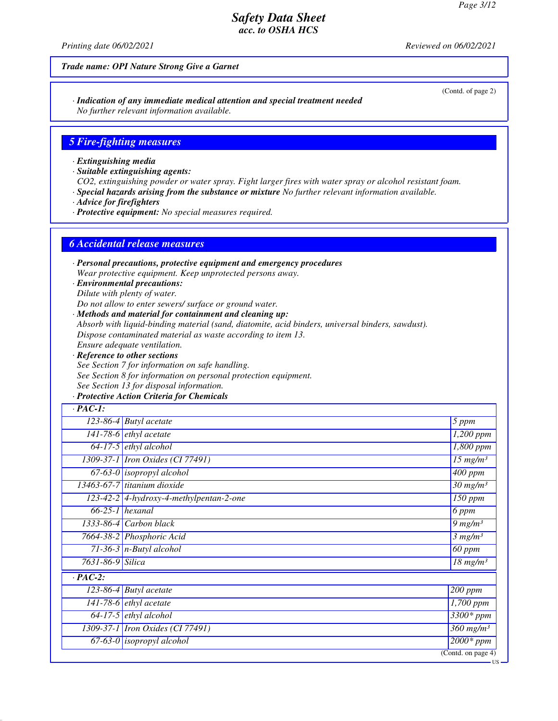*Printing date 06/02/2021 Reviewed on 06/02/2021*

#### *Trade name: OPI Nature Strong Give a Garnet*

*· Indication of any immediate medical attention and special treatment needed No further relevant information available.*

#### *5 Fire-fighting measures*

*· Extinguishing media*

*· Suitable extinguishing agents:*

*CO2, extinguishing powder or water spray. Fight larger fires with water spray or alcohol resistant foam.*

*· Special hazards arising from the substance or mixture No further relevant information available.*

*· Advice for firefighters*

*· Protective equipment: No special measures required.*

#### *6 Accidental release measures*

*· Personal precautions, protective equipment and emergency procedures Wear protective equipment. Keep unprotected persons away.*

*· Environmental precautions: Dilute with plenty of water.*

*Do not allow to enter sewers/ surface or ground water.*

*· Methods and material for containment and cleaning up:*

*Absorb with liquid-binding material (sand, diatomite, acid binders, universal binders, sawdust).*

*Dispose contaminated material as waste according to item 13.*

*Ensure adequate ventilation.*

*· Reference to other sections See Section 7 for information on safe handling. See Section 8 for information on personal protection equipment. See Section 13 for disposal information.*

#### *· Protective Action Criteria for Chemicals*

| $\cdot$ PAC-1:    |                                           |                                    |
|-------------------|-------------------------------------------|------------------------------------|
|                   | $\overline{123-86-4}$ Butyl acetate       | 5 ppm                              |
|                   | 141-78-6 $ethyl$ acetate                  | $1,200$ ppm                        |
|                   | $64-17-5$ ethyl alcohol                   | $\overline{1,}800$ ppm             |
|                   | 1309-37-1 <i>Iron Oxides</i> (CI 77491)   | $15$ mg/m <sup>3</sup>             |
|                   | $\overline{67-63-0}$ isopropyl alcohol    | $\overline{400}$ ppm               |
|                   | 13463-67-7 titanium dioxide               | $30$ mg/m <sup>3</sup>             |
|                   | $123-42-2$ 4-hydroxy-4-methylpentan-2-one | $\overline{150}$ ppm               |
| $66-25-1$ hexanal |                                           | 6 ppm                              |
|                   | $1333-86-4$ Carbon black                  | $9 \ mg/m3$                        |
|                   | 7664-38-2 Phosphoric Acid                 | 3 mg/m <sup>3</sup>                |
|                   | $71-36-3$ n-Butyl alcohol                 | <b>60 ppm</b>                      |
| 7631-86-9 Silica  |                                           | $18$ mg/m <sup>3</sup>             |
| $\cdot$ PAC-2:    |                                           |                                    |
|                   | $123-86-4$ Butyl acetate                  | $200$ ppm                          |
|                   | 141-78-6 $ethyl$ acetate                  | 1,700 ppm                          |
|                   | $64-17-5$ ethyl alcohol                   | $3300*ppm$                         |
|                   | 1309-37-1 <i>Iron Oxides</i> (CI 77491)   | $\overline{360}$ mg/m <sup>3</sup> |
|                   | $67-63-0$ isopropyl alcohol               | $2000*ppm$                         |
|                   |                                           | $\overline{(Contd. on page 4)}$    |

(Contd. of page 2)

US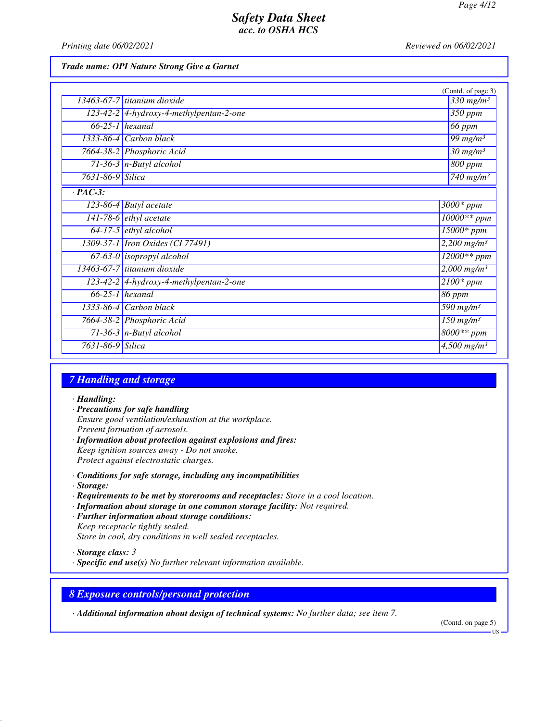*Printing date 06/02/2021 Reviewed on 06/02/2021*

#### *Trade name: OPI Nature Strong Give a Garnet*

|                  |                                           | (Contd. of page 3)                 |
|------------------|-------------------------------------------|------------------------------------|
|                  | 13463-67-7 titanium dioxide               | $\overline{330}$ mg/m <sup>3</sup> |
|                  | $123-42-2$ 4-hydroxy-4-methylpentan-2-one | 350 ppm                            |
|                  | $\overline{66-25-1}$ hexanal              | 66 ppm                             |
|                  | 1333-86-4 Carbon black                    | $\overline{99}$ mg/m <sup>3</sup>  |
|                  | 7664-38-2 Phosphoric Acid                 | $\frac{30 \text{ mg}}{m}$          |
|                  | $71-36-3$ n-Butyl alcohol                 | 800 ppm                            |
| 7631-86-9 Silica |                                           | $740$ mg/m <sup>3</sup>            |
| $\cdot$ PAC-3:   |                                           |                                    |
|                  | $123-86-4$ Butyl acetate                  | $3000*$ ppm                        |
|                  | $141-78-6$ ethyl acetate                  | 10000** ppm                        |
|                  | $64-17-5$ ethyl alcohol                   | $15000*$ ppm                       |
|                  | 1309-37-1 <i>Iron Oxides</i> (CI 77491)   | $2,200$ mg/m <sup>3</sup>          |
|                  | $67-63-0$ isopropyl alcohol               | $12000**$ ppm                      |
|                  | 13463-67-7 titanium dioxide               | $2,000$ mg/m <sup>3</sup>          |
|                  | $123-42-2$ 4-hydroxy-4-methylpentan-2-one | $2100*$ ppm                        |
|                  | $66-25-1$ hexanal                         | 86 ppm                             |
|                  | $1333-86-4$ Carbon black                  | 590 $mg/m^3$                       |
|                  | 7664-38-2 Phosphoric Acid                 | $150$ mg/m <sup>3</sup>            |
|                  | 71-36-3 $n$ -Butyl alcohol                | $8000**$ ppm                       |
| 7631-86-9 Silica |                                           | $4,500$ mg/m <sup>3</sup>          |

# *7 Handling and storage*

#### *· Handling:*

- *· Precautions for safe handling Ensure good ventilation/exhaustion at the workplace. Prevent formation of aerosols. · Information about protection against explosions and fires:*
- *Keep ignition sources away Do not smoke. Protect against electrostatic charges.*
- *· Conditions for safe storage, including any incompatibilities*
- *· Storage:*
- *· Requirements to be met by storerooms and receptacles: Store in a cool location.*
- *· Information about storage in one common storage facility: Not required.*
- *· Further information about storage conditions: Keep receptacle tightly sealed. Store in cool, dry conditions in well sealed receptacles.*
- *· Storage class: 3*
- *· Specific end use(s) No further relevant information available.*

#### *8 Exposure controls/personal protection*

*· Additional information about design of technical systems: No further data; see item 7.*

(Contd. on page 5)

US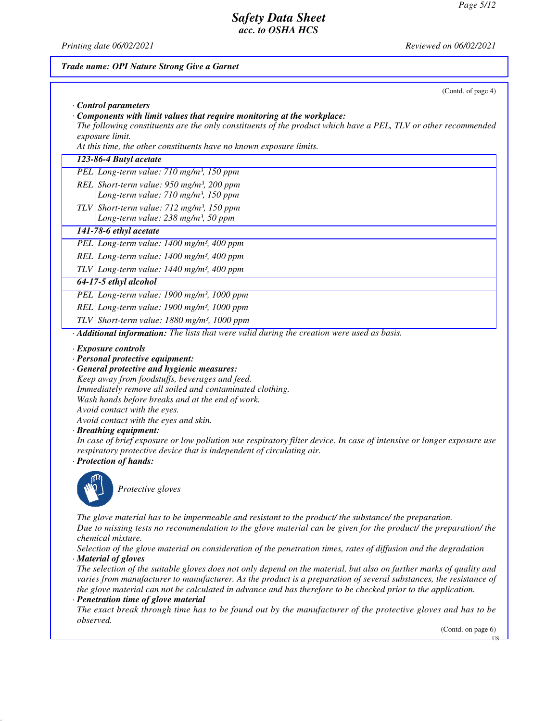*Printing date 06/02/2021 Reviewed on 06/02/2021*

# *Trade name: OPI Nature Strong Give a Garnet* (Contd. of page 4) *· Control parameters · Components with limit values that require monitoring at the workplace: The following constituents are the only constituents of the product which have a PEL, TLV or other recommended exposure limit. At this time, the other constituents have no known exposure limits. 123-86-4 Butyl acetate PEL Long-term value: 710 mg/m³, 150 ppm REL Short-term value: 950 mg/m³, 200 ppm Long-term value: 710 mg/m³, 150 ppm TLV Short-term value: 712 mg/m³, 150 ppm Long-term value: 238 mg/m³, 50 ppm 141-78-6 ethyl acetate PEL Long-term value: 1400 mg/m³, 400 ppm REL Long-term value: 1400 mg/m³, 400 ppm TLV Long-term value: 1440 mg/m³, 400 ppm 64-17-5 ethyl alcohol PEL Long-term value: 1900 mg/m³, 1000 ppm REL Long-term value: 1900 mg/m³, 1000 ppm TLV Short-term value: 1880 mg/m³, 1000 ppm · Additional information: The lists that were valid during the creation were used as basis. · Exposure controls · Personal protective equipment: · General protective and hygienic measures: Keep away from foodstuffs, beverages and feed. Immediately remove all soiled and contaminated clothing. Wash hands before breaks and at the end of work. Avoid contact with the eyes. Avoid contact with the eyes and skin. · Breathing equipment: In case of brief exposure or low pollution use respiratory filter device. In case of intensive or longer exposure use respiratory protective device that is independent of circulating air. · Protection of hands: Protective gloves The glove material has to be impermeable and resistant to the product/ the substance/ the preparation. Due to missing tests no recommendation to the glove material can be given for the product/ the preparation/ the chemical mixture. Selection of the glove material on consideration of the penetration times, rates of diffusion and the degradation · Material of gloves The selection of the suitable gloves does not only depend on the material, but also on further marks of quality and varies from manufacturer to manufacturer. As the product is a preparation of several substances, the resistance of the glove material can not be calculated in advance and has therefore to be checked prior to the application. · Penetration time of glove material The exact break through time has to be found out by the manufacturer of the protective gloves and has to be observed.* (Contd. on page 6) **TIC**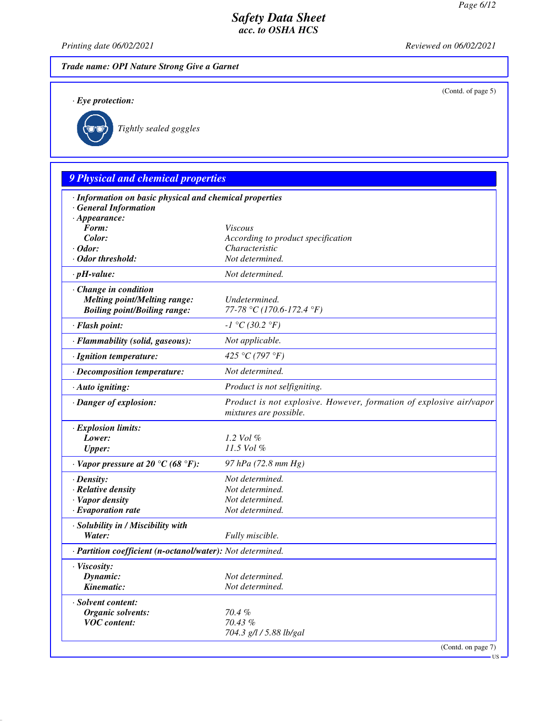(Contd. of page 5)

# *Safety Data Sheet acc. to OSHA HCS*

*Printing date 06/02/2021 Reviewed on 06/02/2021*

*Trade name: OPI Nature Strong Give a Garnet*

*· Eye protection:*



*Tightly sealed goggles*

# *9 Physical and chemical properties*

| · Information on basic physical and chemical properties<br><b>General Information</b> |                                                                                               |
|---------------------------------------------------------------------------------------|-----------------------------------------------------------------------------------------------|
| $\cdot$ Appearance:                                                                   |                                                                                               |
| Form:                                                                                 | <b>Viscous</b>                                                                                |
| Color:                                                                                | According to product specification                                                            |
| $\cdot$ Odor:                                                                         | Characteristic                                                                                |
| · Odor threshold:                                                                     | Not determined.                                                                               |
| $\cdot$ pH-value:                                                                     | Not determined.                                                                               |
| Change in condition                                                                   |                                                                                               |
| <b>Melting point/Melting range:</b>                                                   | Undetermined.                                                                                 |
| <b>Boiling point/Boiling range:</b>                                                   | 77-78 °C (170.6-172.4 °F)                                                                     |
| · Flash point:                                                                        | $-1 °C (30.2 °F)$                                                                             |
| · Flammability (solid, gaseous):                                                      | Not applicable.                                                                               |
| · Ignition temperature:                                                               | 425 °C (797 °F)                                                                               |
| · Decomposition temperature:                                                          | Not determined.                                                                               |
| · Auto igniting:                                                                      | Product is not selfigniting.                                                                  |
| · Danger of explosion:                                                                | Product is not explosive. However, formation of explosive air/vapor<br>mixtures are possible. |
| · Explosion limits:                                                                   |                                                                                               |
| Lower:                                                                                | 1.2 Vol $\%$                                                                                  |
| <b>Upper:</b>                                                                         | 11.5 Vol %                                                                                    |
| $\cdot$ Vapor pressure at 20 $\degree$ C (68 $\degree$ F):                            | 97 hPa (72.8 mm Hg)                                                                           |
| $\cdot$ Density:                                                                      | Not determined.                                                                               |
| · Relative density                                                                    | Not determined.                                                                               |
| · Vapor density                                                                       | Not determined.                                                                               |
| $\cdot$ Evaporation rate                                                              | Not determined.                                                                               |
| · Solubility in / Miscibility with                                                    |                                                                                               |
| Water:                                                                                | Fully miscible.                                                                               |
| · Partition coefficient (n-octanol/water): Not determined.                            |                                                                                               |
| · Viscosity:                                                                          |                                                                                               |
| Dynamic:                                                                              | Not determined.                                                                               |
| Kinematic:                                                                            | Not determined.                                                                               |
| · Solvent content:                                                                    |                                                                                               |
| Organic solvents:                                                                     | 70.4%                                                                                         |
| <b>VOC</b> content:                                                                   | 70.43 %                                                                                       |
|                                                                                       | 704.3 g/l / 5.88 lb/gal                                                                       |
|                                                                                       | (Contd. on page 7)                                                                            |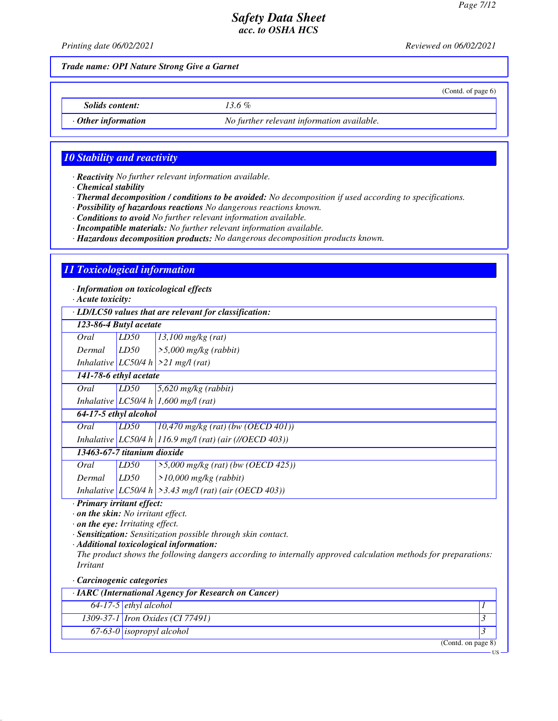(Contd. of page 6)

US

# *Safety Data Sheet acc. to OSHA HCS*

*Printing date 06/02/2021 Reviewed on 06/02/2021*

*Trade name: OPI Nature Strong Give a Garnet*

*Solids content: 13.6 %*

*· Other information No further relevant information available.*

## *10 Stability and reactivity*

*· Reactivity No further relevant information available.*

*· Chemical stability*

*· Thermal decomposition / conditions to be avoided: No decomposition if used according to specifications.*

*· Possibility of hazardous reactions No dangerous reactions known.*

*· Conditions to avoid No further relevant information available.*

*· Incompatible materials: No further relevant information available.*

*· Hazardous decomposition products: No dangerous decomposition products known.*

## *11 Toxicological information*

*· Information on toxicological effects*

*· Acute toxicity:*

*· LD/LC50 values that are relevant for classification:*

| · LD/LC50 values that are relevant for classification: |      |                                                             |  |
|--------------------------------------------------------|------|-------------------------------------------------------------|--|
| 123-86-4 Butyl acetate                                 |      |                                                             |  |
| Oral                                                   | LD50 | $13,100$ mg/kg (rat)                                        |  |
| Dermal                                                 | LD50 | $\geq 5,000$ mg/kg (rabbit)                                 |  |
|                                                        |      | Inhalative $ LC50/4 h  > 21$ mg/l (rat)                     |  |
| 141-78-6 ethyl acetate                                 |      |                                                             |  |
| Oral                                                   | LD50 | $5,620$ mg/kg (rabbit)                                      |  |
|                                                        |      | Inhalative LC50/4 h 1,600 mg/l (rat)                        |  |
| 64-17-5 ethyl alcohol                                  |      |                                                             |  |
| Oral                                                   | LD50 | $(10,470 \text{ mg/kg} (rat) (bw (OECD 401))$               |  |
|                                                        |      | Inhalative   LC50/4 h   116.9 mg/l (rat) (air (//OECD 403)) |  |
| 13463-67-7 titanium dioxide                            |      |                                                             |  |
| Oral                                                   | LD50 | $>5,000$ mg/kg (rat) (bw (OECD 425))                        |  |
| Dermal                                                 | LD50 | $>10,000$ mg/kg (rabbit)                                    |  |
|                                                        |      | Inhalative $ LCS0/4 h  > 3.43$ mg/l (rat) (air (OECD 403))  |  |

*· Primary irritant effect:*

*· on the skin: No irritant effect.*

*· on the eye: Irritating effect.*

*· Sensitization: Sensitization possible through skin contact.*

*· Additional toxicological information:*

*The product shows the following dangers according to internally approved calculation methods for preparations: Irritant*

#### *· Carcinogenic categories*

| · IARC (International Agency for Research on Cancer) |                                         |                   |
|------------------------------------------------------|-----------------------------------------|-------------------|
|                                                      | $64-17-5$ ethyl alcohol                 |                   |
|                                                      | 1309-37-1 <i>Iron Oxides</i> (CI 77491) |                   |
|                                                      | $67-63-0$ isopropyl alcohol             |                   |
|                                                      |                                         | (Cond. on page 8) |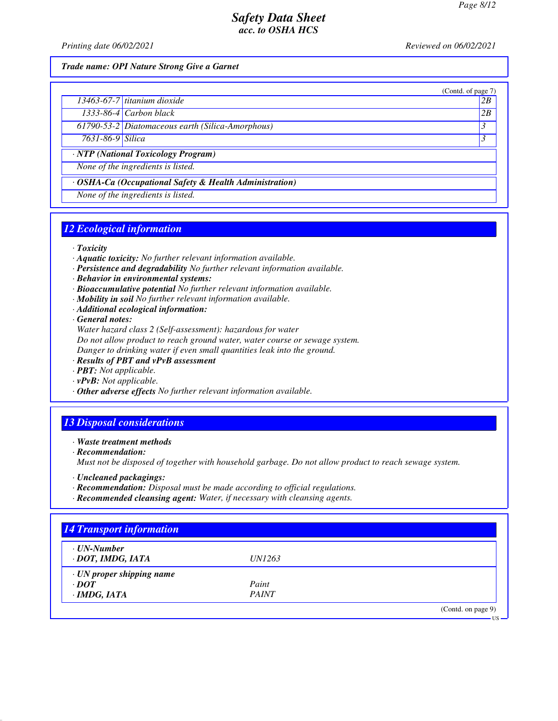(Contd. of page 7)

## *Safety Data Sheet acc. to OSHA HCS*

*Printing date 06/02/2021 Reviewed on 06/02/2021*

*Trade name: OPI Nature Strong Give a Garnet*

| $13463-67-7$ titanium dioxide |  | 2R |
|-------------------------------|--|----|
|-------------------------------|--|----|

*1333-86-4 Carbon black 2B*

*61790-53-2 Diatomaceous earth (Silica-Amorphous) 3* 

*7631-86-9 Silica 3* 

*· NTP (National Toxicology Program)*

*None of the ingredients is listed.*

*· OSHA-Ca (Occupational Safety & Health Administration)*

*None of the ingredients is listed.*

# *12 Ecological information*

*· Toxicity*

- *· Aquatic toxicity: No further relevant information available.*
- *· Persistence and degradability No further relevant information available.*
- *· Behavior in environmental systems:*
- *· Bioaccumulative potential No further relevant information available.*
- *· Mobility in soil No further relevant information available.*
- *· Additional ecological information:*

*· General notes:*

*Water hazard class 2 (Self-assessment): hazardous for water Do not allow product to reach ground water, water course or sewage system. Danger to drinking water if even small quantities leak into the ground.*

- *· Results of PBT and vPvB assessment*
- *· PBT: Not applicable.*
- *· vPvB: Not applicable.*
- *· Other adverse effects No further relevant information available.*

## *13 Disposal considerations*

*· Waste treatment methods*

*· Recommendation:*

*Must not be disposed of together with household garbage. Do not allow product to reach sewage system.*

- *· Uncleaned packagings:*
- *· Recommendation: Disposal must be made according to official regulations.*
- *· Recommended cleansing agent: Water, if necessary with cleansing agents.*

| $\cdot$ UN-Number               |               |  |
|---------------------------------|---------------|--|
| · DOT, IMDG, IATA               | <i>UN1263</i> |  |
| $\cdot$ UN proper shipping name |               |  |
| $\cdot$ <i>DOT</i>              | Paint         |  |
| $\cdot$ IMDG, IATA              | <b>PAINT</b>  |  |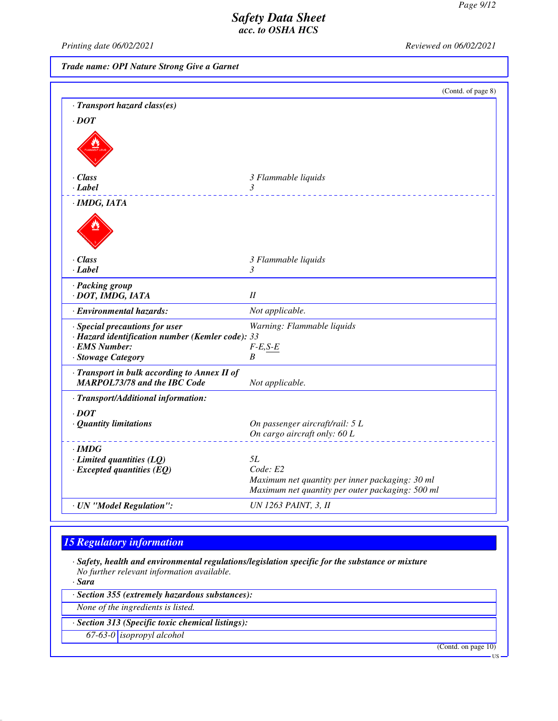*Printing date 06/02/2021 Reviewed on 06/02/2021*

*Trade name: OPI Nature Strong Give a Garnet*

|                                                                                                                           | (Contd. of page 8)                                                                                  |
|---------------------------------------------------------------------------------------------------------------------------|-----------------------------------------------------------------------------------------------------|
| · Transport hazard class(es)                                                                                              |                                                                                                     |
| $\cdot$ DOT                                                                                                               |                                                                                                     |
|                                                                                                                           |                                                                                                     |
| $\cdot$ Class                                                                                                             | 3 Flammable liquids                                                                                 |
| $\cdot$ Label                                                                                                             | 3                                                                                                   |
| $\cdot$ IMDG, IATA                                                                                                        |                                                                                                     |
|                                                                                                                           |                                                                                                     |
| $\cdot$ Class                                                                                                             | 3 Flammable liquids                                                                                 |
| $\cdot$ Label                                                                                                             | 3                                                                                                   |
| · Packing group<br>· DOT, IMDG, IATA                                                                                      | I                                                                                                   |
| · Environmental hazards:                                                                                                  | Not applicable.                                                                                     |
| · Special precautions for user<br>· Hazard identification number (Kemler code): 33<br>· EMS Number:<br>· Stowage Category | Warning: Flammable liquids<br>$F-E,S-E$<br>B                                                        |
| · Transport in bulk according to Annex II of<br><b>MARPOL73/78 and the IBC Code</b>                                       | Not applicable.                                                                                     |
| · Transport/Additional information:                                                                                       |                                                                                                     |
| $\cdot$ DOT<br>· Quantity limitations                                                                                     | On passenger aircraft/rail: 5 L<br>On cargo aircraft only: 60 L                                     |
|                                                                                                                           |                                                                                                     |
| $\cdot$ IMDG<br>$\cdot$ Limited quantities (LQ)                                                                           | <i>5L</i>                                                                                           |
| $\cdot$ Excepted quantities (EQ)                                                                                          | Code: E2                                                                                            |
|                                                                                                                           | Maximum net quantity per inner packaging: 30 ml<br>Maximum net quantity per outer packaging: 500 ml |
| · UN "Model Regulation":                                                                                                  | <b>UN 1263 PAINT, 3, II</b>                                                                         |

# *15 Regulatory information*

*· Safety, health and environmental regulations/legislation specific for the substance or mixture No further relevant information available.*

*· Sara*

*· Section 355 (extremely hazardous substances):*

*None of the ingredients is listed.*

*· Section 313 (Specific toxic chemical listings):*

*67-63-0 isopropyl alcohol*

(Contd. on page 10)

US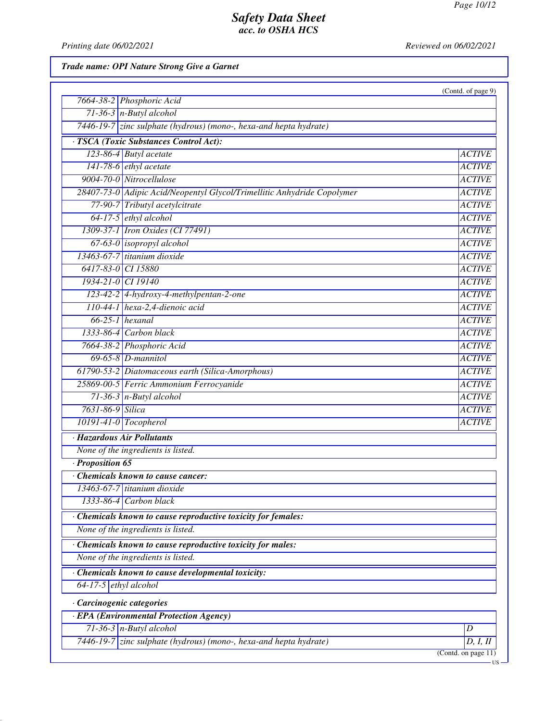*Printing date 06/02/2021 Reviewed on 06/02/2021*

*Trade name: OPI Nature Strong Give a Garnet*

|                                                                         | (Contd. of page 9) |
|-------------------------------------------------------------------------|--------------------|
| 7664-38-2 Phosphoric Acid                                               |                    |
| $71-36-3$ n-Butyl alcohol                                               |                    |
| 7446-19-7 zinc sulphate (hydrous) (mono-, hexa-and hepta hydrate)       |                    |
| · TSCA (Toxic Substances Control Act):                                  |                    |
| 123-86-4 Butyl acetate                                                  | <b>ACTIVE</b>      |
| $141-78-6$ ethyl acetate                                                | <b>ACTIVE</b>      |
| 9004-70-0 Nitrocellulose                                                | <b>ACTIVE</b>      |
| 28407-73-0 Adipic Acid/Neopentyl Glycol/Trimellitic Anhydride Copolymer | <b>ACTIVE</b>      |
| 77-90-7 Tributyl acetylcitrate                                          | <b>ACTIVE</b>      |
| 64-17-5 ethyl alcohol                                                   | <b>ACTIVE</b>      |
| 1309-37-1 Iron Oxides (CI 77491)                                        | <b>ACTIVE</b>      |
| $67-63-0$ isopropyl alcohol                                             | <b>ACTIVE</b>      |
| 13463-67-7 titanium dioxide                                             | <b>ACTIVE</b>      |
| 6417-83-0 CI 15880                                                      | <b>ACTIVE</b>      |
| 1934-21-0 CI 19140                                                      | <b>ACTIVE</b>      |
| 123-42-2 4-hydroxy-4-methylpentan-2-one                                 | <b>ACTIVE</b>      |
| 110-44-1 hexa-2,4-dienoic acid                                          | <b>ACTIVE</b>      |
| $66-25-1$ hexanal                                                       | <b>ACTIVE</b>      |
| $1333-86-4$ Carbon black                                                | <b>ACTIVE</b>      |
| 7664-38-2 Phosphoric Acid                                               | <b>ACTIVE</b>      |
| $69-65-8$ D-mannitol                                                    | <b>ACTIVE</b>      |
| 61790-53-2 Diatomaceous earth (Silica-Amorphous)                        | <b>ACTIVE</b>      |
| 25869-00-5 Ferric Ammonium Ferrocyanide                                 | <b>ACTIVE</b>      |
| $71-36-3$ n-Butyl alcohol                                               | <b>ACTIVE</b>      |
| 7631-86-9 Silica                                                        | <b>ACTIVE</b>      |
| 10191-41-0 Tocopherol                                                   | <b>ACTIVE</b>      |
| · Hazardous Air Pollutants                                              |                    |
| None of the ingredients is listed.                                      |                    |
| · Proposition 65                                                        |                    |
| Chemicals known to cause cancer:                                        |                    |
| 13463-67-7 titanium dioxide                                             |                    |
| Carbon black<br>1333-86-4                                               |                    |
| Chemicals known to cause reproductive toxicity for females:             |                    |
| None of the ingredients is listed.                                      |                    |
| Chemicals known to cause reproductive toxicity for males:               |                    |
| None of the ingredients is listed.                                      |                    |
| · Chemicals known to cause developmental toxicity:                      |                    |
| 64-17-5 $ethyl$ alcohol                                                 |                    |
| Carcinogenic categories                                                 |                    |
| · EPA (Environmental Protection Agency)                                 |                    |
| $71-36-3$ n-Butyl alcohol                                               | D                  |
| 7446-19-7 zinc sulphate (hydrous) (mono-, hexa-and hepta hydrate)       | D, I,              |
|                                                                         | $C_{\alpha n}$ td  |

(Contd. on page 11)

 $-US$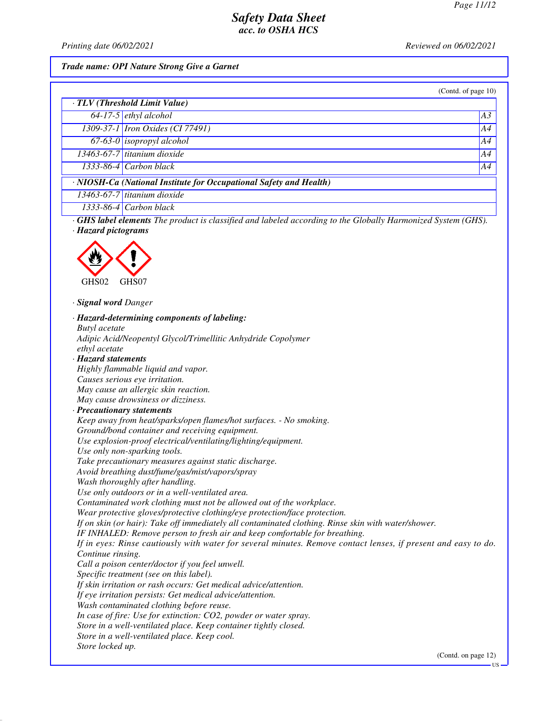*Printing date 06/02/2021 Reviewed on 06/02/2021*

#### *Trade name: OPI Nature Strong Give a Garnet*

| (Contd. of page 10) |  |  |
|---------------------|--|--|

| $\overline{\cdot \text{TLV}(\text{Threshold Limit Value})}$        |                                         |    |
|--------------------------------------------------------------------|-----------------------------------------|----|
|                                                                    | $64-17-5$ ethyl alcohol                 | A3 |
|                                                                    | 1309-37-1 <i>Iron Oxides</i> (CI 77491) | A4 |
|                                                                    | $67-63-0$ isopropyl alcohol             | AA |
|                                                                    | 13463-67-7 titanium dioxide             | AA |
|                                                                    | $1333-86-4$ Carbon black                | A4 |
| · NIOSH-Ca (National Institute for Occupational Safety and Health) |                                         |    |
|                                                                    | $13463-67-7$ titanium dioxide           |    |
|                                                                    | $1333-86-4$ Carbon black                |    |

*· GHS label elements The product is classified and labeled according to the Globally Harmonized System (GHS). · Hazard pictograms*



*· Signal word Danger*

*· Hazard-determining components of labeling: Butyl acetate Adipic Acid/Neopentyl Glycol/Trimellitic Anhydride Copolymer ethyl acetate · Hazard statements Highly flammable liquid and vapor. Causes serious eye irritation. May cause an allergic skin reaction. May cause drowsiness or dizziness. · Precautionary statements Keep away from heat/sparks/open flames/hot surfaces. - No smoking. Ground/bond container and receiving equipment. Use explosion-proof electrical/ventilating/lighting/equipment. Use only non-sparking tools. Take precautionary measures against static discharge. Avoid breathing dust/fume/gas/mist/vapors/spray Wash thoroughly after handling. Use only outdoors or in a well-ventilated area. Contaminated work clothing must not be allowed out of the workplace. Wear protective gloves/protective clothing/eye protection/face protection. If on skin (or hair): Take off immediately all contaminated clothing. Rinse skin with water/shower. IF INHALED: Remove person to fresh air and keep comfortable for breathing. If in eyes: Rinse cautiously with water for several minutes. Remove contact lenses, if present and easy to do. Continue rinsing. Call a poison center/doctor if you feel unwell. Specific treatment (see on this label). If skin irritation or rash occurs: Get medical advice/attention. If eye irritation persists: Get medical advice/attention. Wash contaminated clothing before reuse. In case of fire: Use for extinction: CO2, powder or water spray. Store in a well-ventilated place. Keep container tightly closed. Store in a well-ventilated place. Keep cool. Store locked up.* (Contd. on page 12)